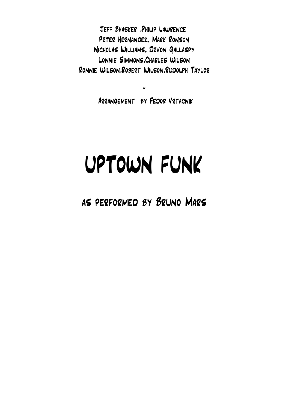Jeff Bhasker ,Philip Lawrence Peter Hernandez, Mark Ronson Nicholas Williams, Devon Gallaspy Lonnie Simmons,Charles Wilson Ronnie Wilson,Robert Wilson,Rudolph Taylor

Arrangement by Fedor Vrtacnik

\*

## UPTOWN FUNK

as performed by Bruno Mars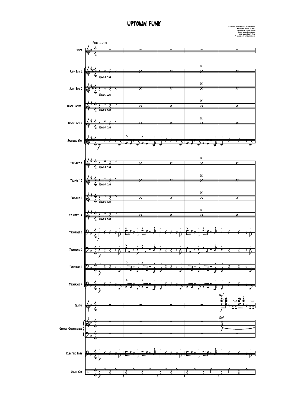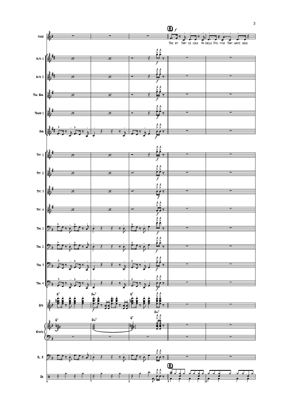

3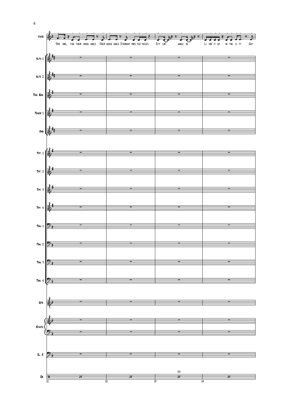